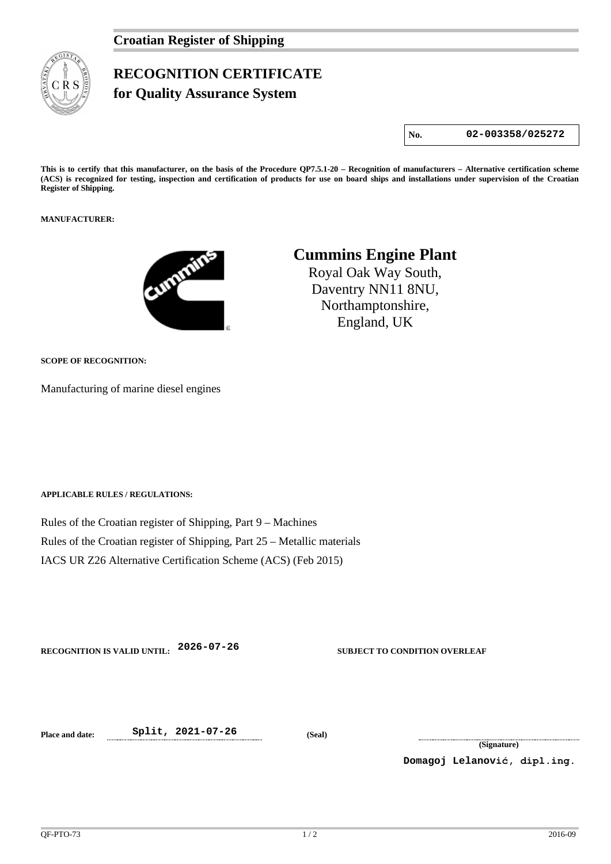## **RECOGNITION CERTIFICATE for Quality Assurance System**

**No. 02-003358/025272**

**This is to certify that this manufacturer, on the basis of the Procedure QP7.5.1-20 – Recognition of manufacturers – Alternative certification scheme (ACS) is recognized for testing, inspection and certification of products for use on board ships and installations under supervision of the Croatian Register of Shipping.**

**MANUFACTURER:**



## **Cummins Engine Plant**

Royal Oak Way South, Daventry NN11 8NU, Northamptonshire, England, UK

**SCOPE OF RECOGNITION:**

Manufacturing of marine diesel engines

**APPLICABLE RULES / REGULATIONS:**

Rules of the Croatian register of Shipping, Part 9 – Machines Rules of the Croatian register of Shipping, Part 25 – Metallic materials IACS UR Z26 Alternative Certification Scheme (ACS) (Feb 2015)

**RECOGNITION IS VALID UNTIL: 2026-07-26 SUBJECT TO CONDITION OVERLEAF**

**Place and date: Split, 2021-07-26 (Seal)**

**(Signature)**

**Domagoj Lelanović, dipl.ing.**